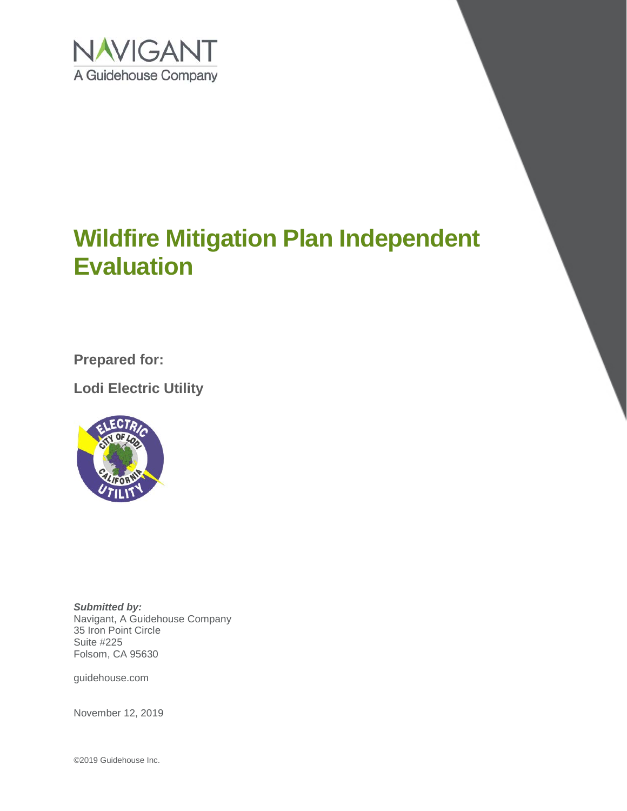

**Prepared for:**

**Lodi Electric Utility**



*Submitted by:* Navigant, A Guidehouse Company 35 Iron Point Circle Suite #225 Folsom, CA 95630

guidehouse.com

November 12, 2019

©2019 Guidehouse Inc.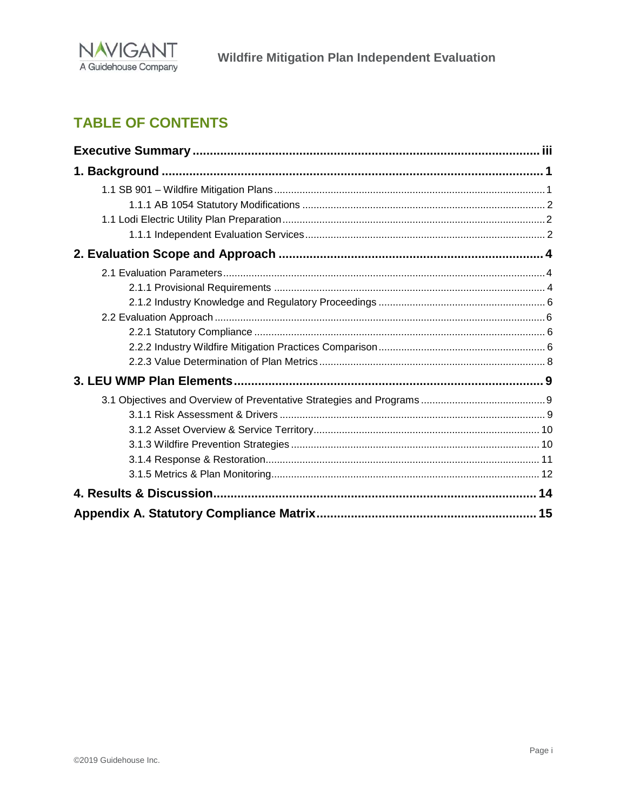

# **TABLE OF CONTENTS**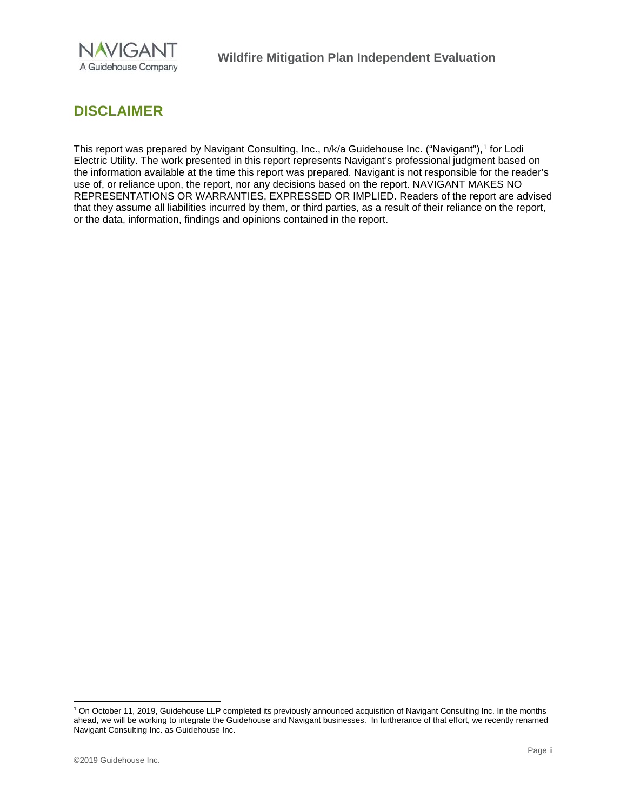

# **DISCLAIMER**

This report was prepared by Navigant Consulting, Inc., n/k/a Guidehouse Inc. ("Navigant"), [1](#page-2-0) for Lodi Electric Utility. The work presented in this report represents Navigant's professional judgment based on the information available at the time this report was prepared. Navigant is not responsible for the reader's use of, or reliance upon, the report, nor any decisions based on the report. NAVIGANT MAKES NO REPRESENTATIONS OR WARRANTIES, EXPRESSED OR IMPLIED. Readers of the report are advised that they assume all liabilities incurred by them, or third parties, as a result of their reliance on the report, or the data, information, findings and opinions contained in the report.

<span id="page-2-0"></span> <sup>1</sup> On October 11, 2019, Guidehouse LLP completed its previously announced acquisition of Navigant Consulting Inc. In the months ahead, we will be working to integrate the Guidehouse and Navigant businesses. In furtherance of that effort, we recently renamed Navigant Consulting Inc. as Guidehouse Inc.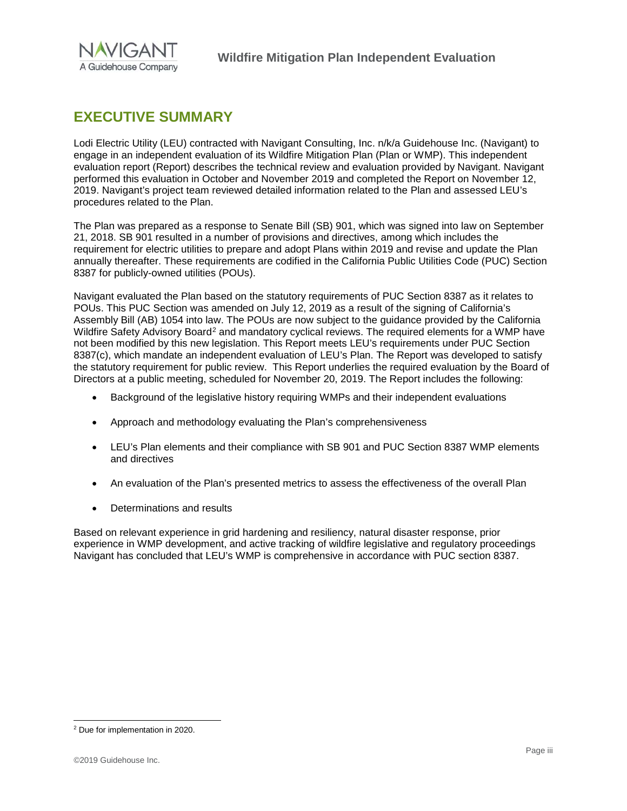

# <span id="page-3-0"></span>**EXECUTIVE SUMMARY**

Lodi Electric Utility (LEU) contracted with Navigant Consulting, Inc. n/k/a Guidehouse Inc. (Navigant) to engage in an independent evaluation of its Wildfire Mitigation Plan (Plan or WMP). This independent evaluation report (Report) describes the technical review and evaluation provided by Navigant. Navigant performed this evaluation in October and November 2019 and completed the Report on November 12, 2019. Navigant's project team reviewed detailed information related to the Plan and assessed LEU's procedures related to the Plan.

The Plan was prepared as a response to Senate Bill (SB) 901, which was signed into law on September 21, 2018. SB 901 resulted in a number of provisions and directives, among which includes the requirement for electric utilities to prepare and adopt Plans within 2019 and revise and update the Plan annually thereafter. These requirements are codified in the California Public Utilities Code (PUC) Section 8387 for publicly-owned utilities (POUs).

Navigant evaluated the Plan based on the statutory requirements of PUC Section 8387 as it relates to POUs. This PUC Section was amended on July 12, 2019 as a result of the signing of California's Assembly Bill (AB) 1054 into law. The POUs are now subject to the guidance provided by the California Wildfire Safety Advisory Board<sup>[2](#page-3-1)</sup> and mandatory cyclical reviews. The required elements for a WMP have not been modified by this new legislation. This Report meets LEU's requirements under PUC Section 8387(c), which mandate an independent evaluation of LEU's Plan. The Report was developed to satisfy the statutory requirement for public review. This Report underlies the required evaluation by the Board of Directors at a public meeting, scheduled for November 20, 2019. The Report includes the following:

- Background of the legislative history requiring WMPs and their independent evaluations
- Approach and methodology evaluating the Plan's comprehensiveness
- LEU's Plan elements and their compliance with SB 901 and PUC Section 8387 WMP elements and directives
- An evaluation of the Plan's presented metrics to assess the effectiveness of the overall Plan
- Determinations and results

Based on relevant experience in grid hardening and resiliency, natural disaster response, prior experience in WMP development, and active tracking of wildfire legislative and regulatory proceedings Navigant has concluded that LEU's WMP is comprehensive in accordance with PUC section 8387.

<span id="page-3-1"></span> <sup>2</sup> Due for implementation in 2020.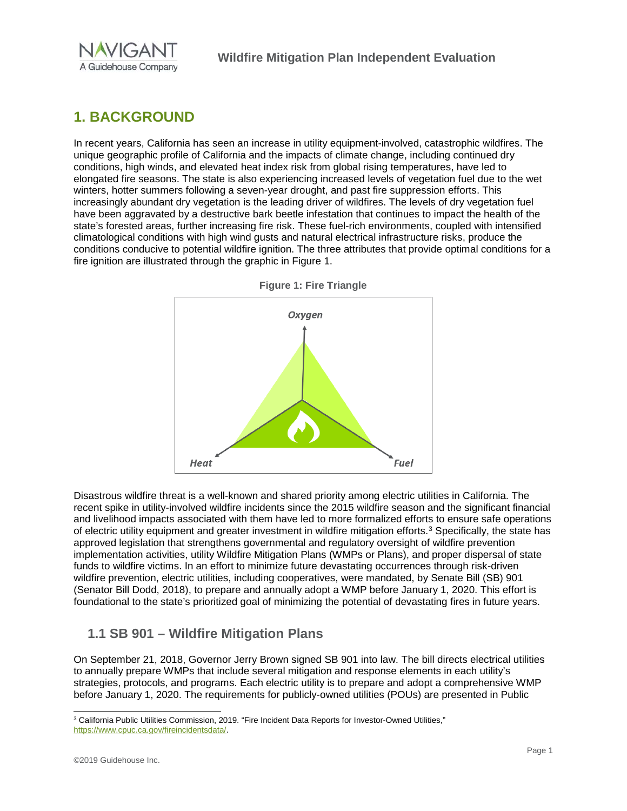

# <span id="page-4-0"></span>**1. BACKGROUND**

In recent years, California has seen an increase in utility equipment-involved, catastrophic wildfires. The unique geographic profile of California and the impacts of climate change, including continued dry conditions, high winds, and elevated heat index risk from global rising temperatures, have led to elongated fire seasons. The state is also experiencing increased levels of vegetation fuel due to the wet winters, hotter summers following a seven-year drought, and past fire suppression efforts. This increasingly abundant dry vegetation is the leading driver of wildfires. The levels of dry vegetation fuel have been aggravated by a destructive bark beetle infestation that continues to impact the health of the state's forested areas, further increasing fire risk. These fuel-rich environments, coupled with intensified climatological conditions with high wind gusts and natural electrical infrastructure risks, produce the conditions conducive to potential wildfire ignition. The three attributes that provide optimal conditions for a fire ignition are illustrated through the graphic in [Figure 1.](#page-4-2)



<span id="page-4-2"></span>**Figure 1: Fire Triangle**

Disastrous wildfire threat is a well-known and shared priority among electric utilities in California. The recent spike in utility-involved wildfire incidents since the 2015 wildfire season and the significant financial and livelihood impacts associated with them have led to more formalized efforts to ensure safe operations of electric utility equipment and greater investment in wildfire mitigation efforts.[3](#page-4-3) Specifically, the state has approved legislation that strengthens governmental and regulatory oversight of wildfire prevention implementation activities, utility Wildfire Mitigation Plans (WMPs or Plans), and proper dispersal of state funds to wildfire victims. In an effort to minimize future devastating occurrences through risk-driven wildfire prevention, electric utilities, including cooperatives, were mandated, by Senate Bill (SB) 901 (Senator Bill Dodd, 2018), to prepare and annually adopt a WMP before January 1, 2020. This effort is foundational to the state's prioritized goal of minimizing the potential of devastating fires in future years.

### <span id="page-4-1"></span>**1.1 SB 901 – Wildfire Mitigation Plans**

On September 21, 2018, Governor Jerry Brown signed SB 901 into law. The bill directs electrical utilities to annually prepare WMPs that include several mitigation and response elements in each utility's strategies, protocols, and programs. Each electric utility is to prepare and adopt a comprehensive WMP before January 1, 2020. The requirements for publicly-owned utilities (POUs) are presented in Public

<span id="page-4-3"></span> <sup>3</sup> California Public Utilities Commission, 2019. "Fire Incident Data Reports for Investor-Owned Utilities," [https://www.cpuc.ca.gov/fireincidentsdata/.](https://www.cpuc.ca.gov/fireincidentsdata/)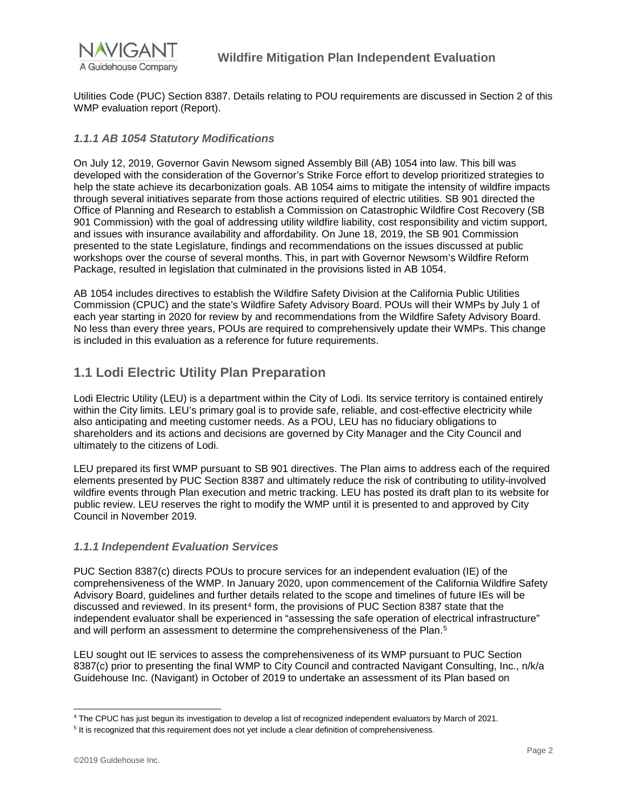

Utilities Code (PUC) Section 8387. Details relating to POU requirements are discussed in Section 2 of this WMP evaluation report (Report).

#### <span id="page-5-0"></span>*1.1.1 AB 1054 Statutory Modifications*

On July 12, 2019, Governor Gavin Newsom signed Assembly Bill (AB) 1054 into law. This bill was developed with the consideration of the Governor's Strike Force effort to develop prioritized strategies to help the state achieve its decarbonization goals. AB 1054 aims to mitigate the intensity of wildfire impacts through several initiatives separate from those actions required of electric utilities. SB 901 directed the Office of Planning and Research to establish a Commission on Catastrophic Wildfire Cost Recovery (SB 901 Commission) with the goal of addressing utility wildfire liability, cost responsibility and victim support, and issues with insurance availability and affordability. On June 18, 2019, the SB 901 Commission presented to the state Legislature, findings and recommendations on the issues discussed at public workshops over the course of several months. This, in part with Governor Newsom's Wildfire Reform Package, resulted in legislation that culminated in the provisions listed in AB 1054.

AB 1054 includes directives to establish the Wildfire Safety Division at the California Public Utilities Commission (CPUC) and the state's Wildfire Safety Advisory Board. POUs will their WMPs by July 1 of each year starting in 2020 for review by and recommendations from the Wildfire Safety Advisory Board. No less than every three years, POUs are required to comprehensively update their WMPs. This change is included in this evaluation as a reference for future requirements.

### <span id="page-5-1"></span>**1.1 Lodi Electric Utility Plan Preparation**

Lodi Electric Utility (LEU) is a department within the City of Lodi. Its service territory is contained entirely within the City limits. LEU's primary goal is to provide safe, reliable, and cost-effective electricity while also anticipating and meeting customer needs. As a POU, LEU has no fiduciary obligations to shareholders and its actions and decisions are governed by City Manager and the City Council and ultimately to the citizens of Lodi.

LEU prepared its first WMP pursuant to SB 901 directives. The Plan aims to address each of the required elements presented by PUC Section 8387 and ultimately reduce the risk of contributing to utility-involved wildfire events through Plan execution and metric tracking. LEU has posted its draft plan to its website for public review. LEU reserves the right to modify the WMP until it is presented to and approved by City Council in November 2019.

#### <span id="page-5-2"></span>*1.1.1 Independent Evaluation Services*

PUC Section 8387(c) directs POUs to procure services for an independent evaluation (IE) of the comprehensiveness of the WMP. In January 2020, upon commencement of the California Wildfire Safety Advisory Board, guidelines and further details related to the scope and timelines of future IEs will be discussed and reviewed. In its present<sup>[4](#page-5-3)</sup> form, the provisions of PUC Section 8387 state that the independent evaluator shall be experienced in "assessing the safe operation of electrical infrastructure" and will perform an assessment to determine the comprehensiveness of the Plan.<sup>[5](#page-5-4)</sup>

LEU sought out IE services to assess the comprehensiveness of its WMP pursuant to PUC Section 8387(c) prior to presenting the final WMP to City Council and contracted Navigant Consulting, Inc., n/k/a Guidehouse Inc. (Navigant) in October of 2019 to undertake an assessment of its Plan based on

<span id="page-5-3"></span> <sup>4</sup> The CPUC has just begun its investigation to develop <sup>a</sup> list of recognized independent evaluators by March of 2021.

<span id="page-5-4"></span><sup>&</sup>lt;sup>5</sup> It is recognized that this requirement does not yet include a clear definition of comprehensiveness.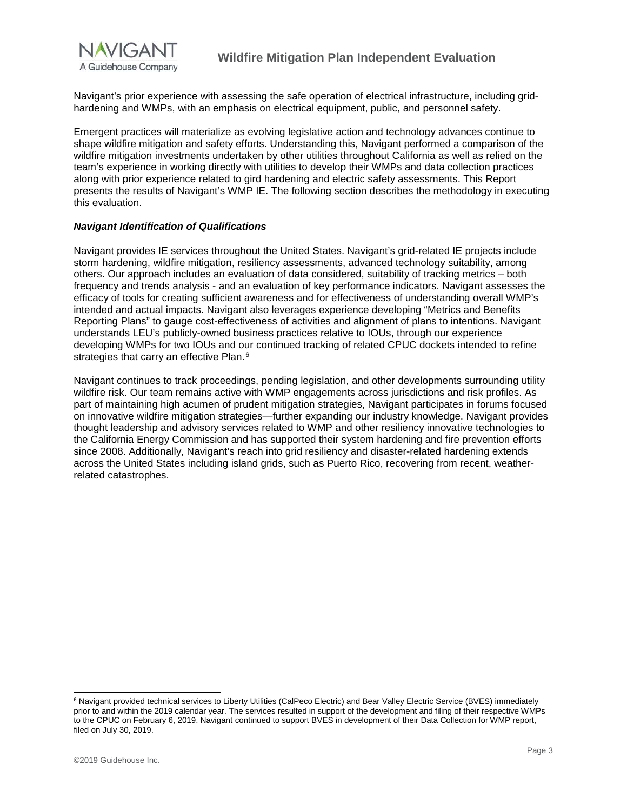

Navigant's prior experience with assessing the safe operation of electrical infrastructure, including gridhardening and WMPs, with an emphasis on electrical equipment, public, and personnel safety.

Emergent practices will materialize as evolving legislative action and technology advances continue to shape wildfire mitigation and safety efforts. Understanding this, Navigant performed a comparison of the wildfire mitigation investments undertaken by other utilities throughout California as well as relied on the team's experience in working directly with utilities to develop their WMPs and data collection practices along with prior experience related to gird hardening and electric safety assessments. This Report presents the results of Navigant's WMP IE. The following section describes the methodology in executing this evaluation.

#### *Navigant Identification of Qualifications*

Navigant provides IE services throughout the United States. Navigant's grid-related IE projects include storm hardening, wildfire mitigation, resiliency assessments, advanced technology suitability, among others. Our approach includes an evaluation of data considered, suitability of tracking metrics – both frequency and trends analysis - and an evaluation of key performance indicators. Navigant assesses the efficacy of tools for creating sufficient awareness and for effectiveness of understanding overall WMP's intended and actual impacts. Navigant also leverages experience developing "Metrics and Benefits Reporting Plans" to gauge cost-effectiveness of activities and alignment of plans to intentions. Navigant understands LEU's publicly-owned business practices relative to IOUs, through our experience developing WMPs for two IOUs and our continued tracking of related CPUC dockets intended to refine strategies that carry an effective Plan.<sup>[6](#page-6-0)</sup>

Navigant continues to track proceedings, pending legislation, and other developments surrounding utility wildfire risk. Our team remains active with WMP engagements across jurisdictions and risk profiles. As part of maintaining high acumen of prudent mitigation strategies, Navigant participates in forums focused on innovative wildfire mitigation strategies—further expanding our industry knowledge. Navigant provides thought leadership and advisory services related to WMP and other resiliency innovative technologies to the California Energy Commission and has supported their system hardening and fire prevention efforts since 2008. Additionally, Navigant's reach into grid resiliency and disaster-related hardening extends across the United States including island grids, such as Puerto Rico, recovering from recent, weatherrelated catastrophes.

<span id="page-6-0"></span><sup>&</sup>lt;sup>6</sup> Navigant provided technical services to Liberty Utilities (CalPeco Electric) and Bear Valley Electric Service (BVES) immediately prior to and within the 2019 calendar year. The services resulted in support of the development and filing of their respective WMPs to the CPUC on February 6, 2019. Navigant continued to support BVES in development of their Data Collection for WMP report, filed on July 30, 2019.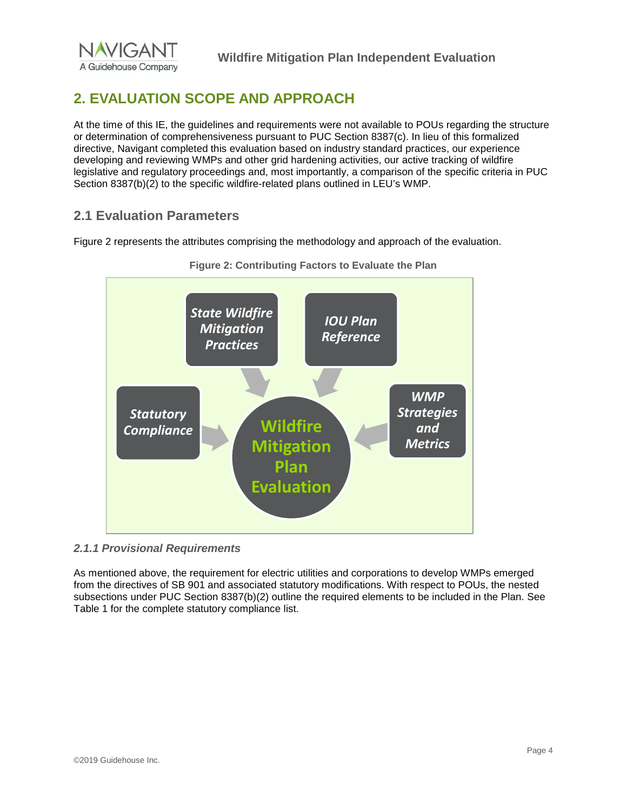

# <span id="page-7-0"></span>**2. EVALUATION SCOPE AND APPROACH**

At the time of this IE, the guidelines and requirements were not available to POUs regarding the structure or determination of comprehensiveness pursuant to PUC Section 8387(c). In lieu of this formalized directive, Navigant completed this evaluation based on industry standard practices, our experience developing and reviewing WMPs and other grid hardening activities, our active tracking of wildfire legislative and regulatory proceedings and, most importantly, a comparison of the specific criteria in PUC Section 8387(b)(2) to the specific wildfire-related plans outlined in LEU's WMP.

### <span id="page-7-1"></span>**2.1 Evaluation Parameters**

Figure 2 represents the attributes comprising the methodology and approach of the evaluation.





#### <span id="page-7-2"></span>*2.1.1 Provisional Requirements*

As mentioned above, the requirement for electric utilities and corporations to develop WMPs emerged from the directives of SB 901 and associated statutory modifications. With respect to POUs, the nested subsections under PUC Section 8387(b)(2) outline the required elements to be included in the Plan. See Table 1 for the complete statutory compliance list.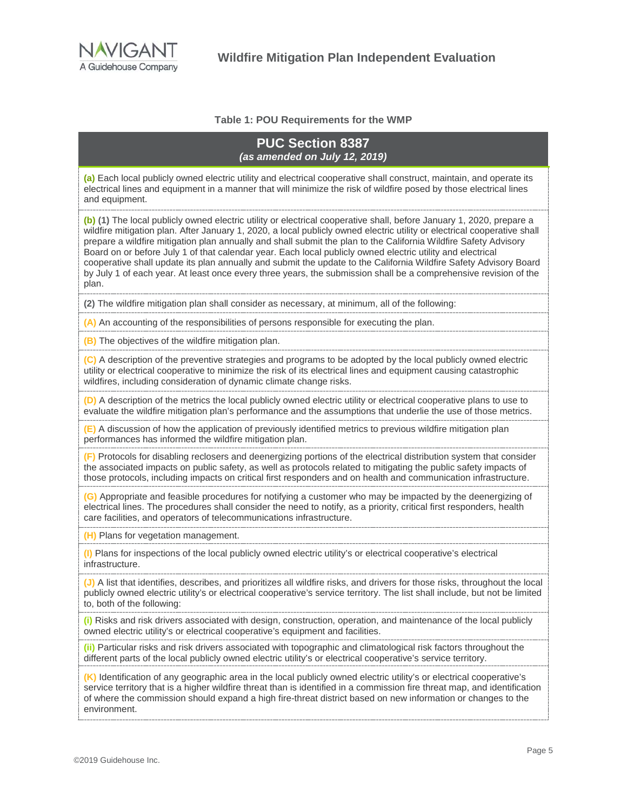

#### **Table 1: POU Requirements for the WMP**

#### **PUC Section 8387**  *(as amended on July 12, 2019)*

**(a)** Each local publicly owned electric utility and electrical cooperative shall construct, maintain, and operate its electrical lines and equipment in a manner that will minimize the risk of wildfire posed by those electrical lines and equipment.

**(b) (1)** The local publicly owned electric utility or electrical cooperative shall, before January 1, 2020, prepare a wildfire mitigation plan. After January 1, 2020, a local publicly owned electric utility or electrical cooperative shall prepare a wildfire mitigation plan annually and shall submit the plan to the California Wildfire Safety Advisory Board on or before July 1 of that calendar year. Each local publicly owned electric utility and electrical cooperative shall update its plan annually and submit the update to the California Wildfire Safety Advisory Board by July 1 of each year. At least once every three years, the submission shall be a comprehensive revision of the plan.

**(2)** The wildfire mitigation plan shall consider as necessary, at minimum, all of the following:

**(A)** An accounting of the responsibilities of persons responsible for executing the plan.

**(B)** The objectives of the wildfire mitigation plan.

**(C)** A description of the preventive strategies and programs to be adopted by the local publicly owned electric utility or electrical cooperative to minimize the risk of its electrical lines and equipment causing catastrophic wildfires, including consideration of dynamic climate change risks.

**(D)** A description of the metrics the local publicly owned electric utility or electrical cooperative plans to use to evaluate the wildfire mitigation plan's performance and the assumptions that underlie the use of those metrics.

**(E)** A discussion of how the application of previously identified metrics to previous wildfire mitigation plan performances has informed the wildfire mitigation plan.

**(F)** Protocols for disabling reclosers and deenergizing portions of the electrical distribution system that consider the associated impacts on public safety, as well as protocols related to mitigating the public safety impacts of those protocols, including impacts on critical first responders and on health and communication infrastructure.

**(G)** Appropriate and feasible procedures for notifying a customer who may be impacted by the deenergizing of electrical lines. The procedures shall consider the need to notify, as a priority, critical first responders, health care facilities, and operators of telecommunications infrastructure.

**(H)** Plans for vegetation management.

**(I)** Plans for inspections of the local publicly owned electric utility's or electrical cooperative's electrical infrastructure.

**(J)** A list that identifies, describes, and prioritizes all wildfire risks, and drivers for those risks, throughout the local publicly owned electric utility's or electrical cooperative's service territory. The list shall include, but not be limited to, both of the following:

**(i)** Risks and risk drivers associated with design, construction, operation, and maintenance of the local publicly owned electric utility's or electrical cooperative's equipment and facilities.

**(ii)** Particular risks and risk drivers associated with topographic and climatological risk factors throughout the different parts of the local publicly owned electric utility's or electrical cooperative's service territory.

**(K)** Identification of any geographic area in the local publicly owned electric utility's or electrical cooperative's service territory that is a higher wildfire threat than is identified in a commission fire threat map, and identification of where the commission should expand a high fire-threat district based on new information or changes to the environment.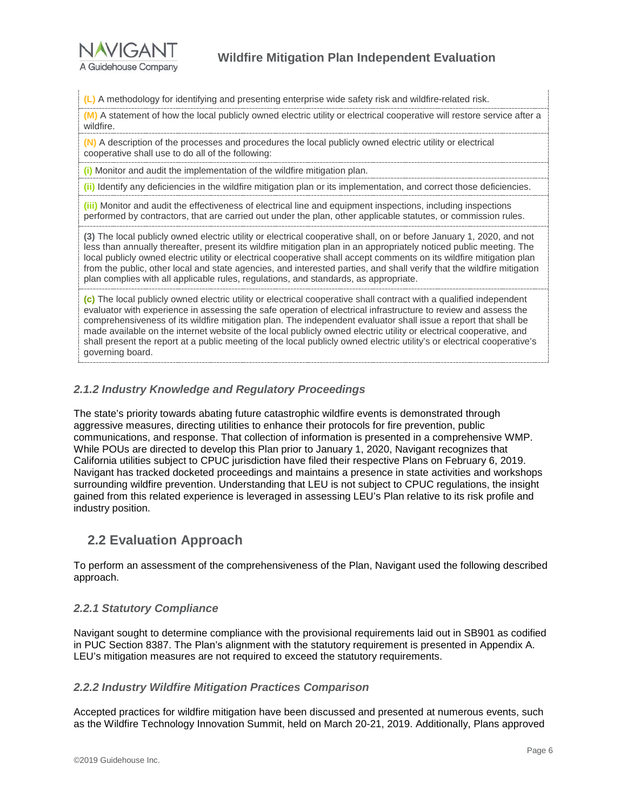

**(L)** A methodology for identifying and presenting enterprise wide safety risk and wildfire-related risk.

**(M)** A statement of how the local publicly owned electric utility or electrical cooperative will restore service after a wildfire.

**(N)** A description of the processes and procedures the local publicly owned electric utility or electrical cooperative shall use to do all of the following:

**(i)** Monitor and audit the implementation of the wildfire mitigation plan.

**(ii)** Identify any deficiencies in the wildfire mitigation plan or its implementation, and correct those deficiencies.

**(iii)** Monitor and audit the effectiveness of electrical line and equipment inspections, including inspections performed by contractors, that are carried out under the plan, other applicable statutes, or commission rules.

**(3)** The local publicly owned electric utility or electrical cooperative shall, on or before January 1, 2020, and not less than annually thereafter, present its wildfire mitigation plan in an appropriately noticed public meeting. The local publicly owned electric utility or electrical cooperative shall accept comments on its wildfire mitigation plan from the public, other local and state agencies, and interested parties, and shall verify that the wildfire mitigation plan complies with all applicable rules, regulations, and standards, as appropriate.

**(c)** The local publicly owned electric utility or electrical cooperative shall contract with a qualified independent evaluator with experience in assessing the safe operation of electrical infrastructure to review and assess the comprehensiveness of its wildfire mitigation plan. The independent evaluator shall issue a report that shall be made available on the internet website of the local publicly owned electric utility or electrical cooperative, and shall present the report at a public meeting of the local publicly owned electric utility's or electrical cooperative's governing board.

#### <span id="page-9-0"></span>*2.1.2 Industry Knowledge and Regulatory Proceedings*

The state's priority towards abating future catastrophic wildfire events is demonstrated through aggressive measures, directing utilities to enhance their protocols for fire prevention, public communications, and response. That collection of information is presented in a comprehensive WMP. While POUs are directed to develop this Plan prior to January 1, 2020, Navigant recognizes that California utilities subject to CPUC jurisdiction have filed their respective Plans on February 6, 2019. Navigant has tracked docketed proceedings and maintains a presence in state activities and workshops surrounding wildfire prevention. Understanding that LEU is not subject to CPUC regulations, the insight gained from this related experience is leveraged in assessing LEU's Plan relative to its risk profile and industry position.

### <span id="page-9-1"></span>**2.2 Evaluation Approach**

To perform an assessment of the comprehensiveness of the Plan, Navigant used the following described approach.

#### <span id="page-9-2"></span>*2.2.1 Statutory Compliance*

Navigant sought to determine compliance with the provisional requirements laid out in SB901 as codified in PUC Section 8387. The Plan's alignment with the statutory requirement is presented in Appendix A. LEU's mitigation measures are not required to exceed the statutory requirements.

#### <span id="page-9-3"></span>*2.2.2 Industry Wildfire Mitigation Practices Comparison*

Accepted practices for wildfire mitigation have been discussed and presented at numerous events, such as the Wildfire Technology Innovation Summit, held on March 20-21, 2019. Additionally, Plans approved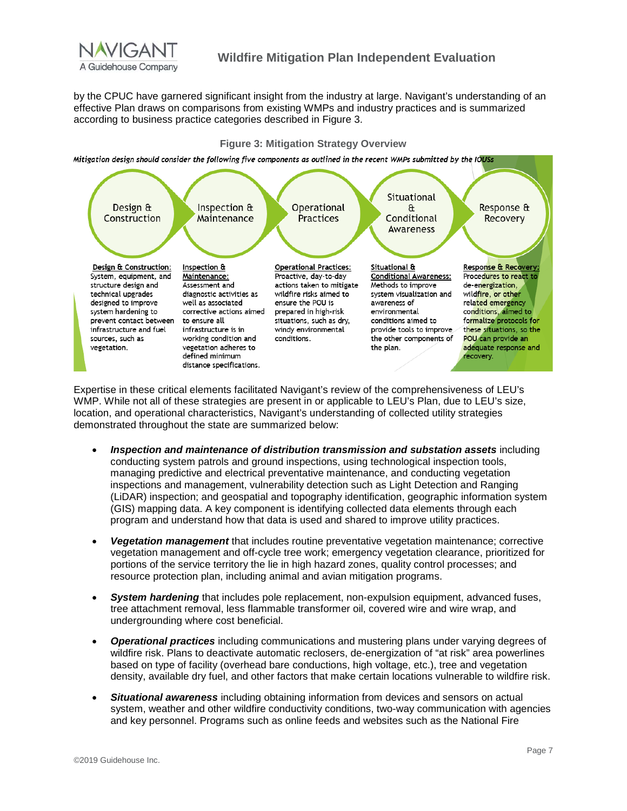

by the CPUC have garnered significant insight from the industry at large. Navigant's understanding of an effective Plan draws on comparisons from existing WMPs and industry practices and is summarized according to business practice categories described in [Figure 3.](#page-10-0)

#### **Figure 3: Mitigation Strategy Overview**

<span id="page-10-0"></span>Mitigation design should consider the following five components as outlined in the recent WMPs submitted by the IOUSs



Expertise in these critical elements facilitated Navigant's review of the comprehensiveness of LEU's WMP. While not all of these strategies are present in or applicable to LEU's Plan, due to LEU's size, location, and operational characteristics, Navigant's understanding of collected utility strategies demonstrated throughout the state are summarized below:

- *Inspection and maintenance of distribution transmission and substation assets* including conducting system patrols and ground inspections, using technological inspection tools, managing predictive and electrical preventative maintenance, and conducting vegetation inspections and management, vulnerability detection such as Light Detection and Ranging (LiDAR) inspection; and geospatial and topography identification, geographic information system (GIS) mapping data. A key component is identifying collected data elements through each program and understand how that data is used and shared to improve utility practices.
- *Vegetation management* that includes routine preventative vegetation maintenance; corrective vegetation management and off-cycle tree work; emergency vegetation clearance, prioritized for portions of the service territory the lie in high hazard zones, quality control processes; and resource protection plan, including animal and avian mitigation programs.
- *System hardening* that includes pole replacement, non-expulsion equipment, advanced fuses, tree attachment removal, less flammable transformer oil, covered wire and wire wrap, and undergrounding where cost beneficial.
- *Operational practices* including communications and mustering plans under varying degrees of wildfire risk. Plans to deactivate automatic reclosers, de-energization of "at risk" area powerlines based on type of facility (overhead bare conductions, high voltage, etc.), tree and vegetation density, available dry fuel, and other factors that make certain locations vulnerable to wildfire risk.
- *Situational awareness* including obtaining information from devices and sensors on actual system, weather and other wildfire conductivity conditions, two-way communication with agencies and key personnel. Programs such as online feeds and websites such as the National Fire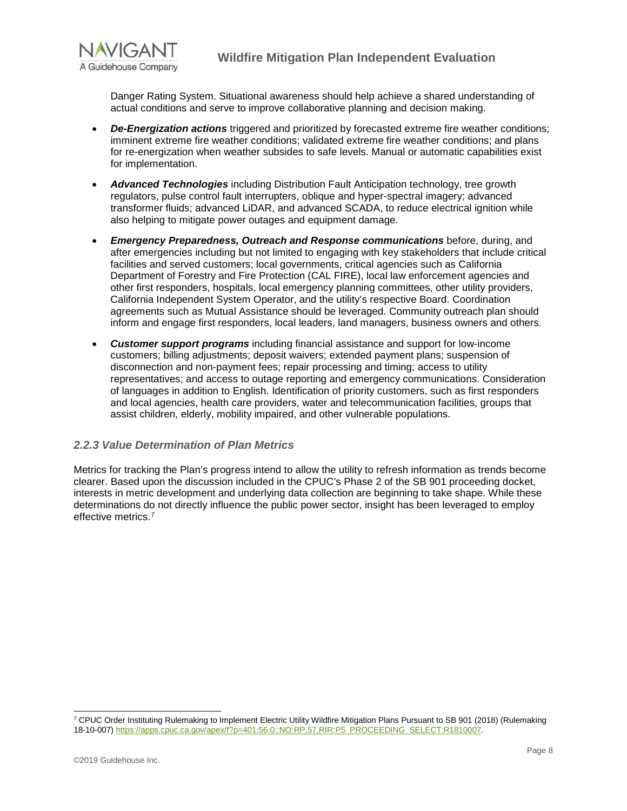

Danger Rating System. Situational awareness should help achieve a shared understanding of actual conditions and serve to improve collaborative planning and decision making.

- *De-Energization actions* triggered and prioritized by forecasted extreme fire weather conditions; imminent extreme fire weather conditions; validated extreme fire weather conditions; and plans for re-energization when weather subsides to safe levels. Manual or automatic capabilities exist for implementation.
- *Advanced Technologies* including Distribution Fault Anticipation technology, tree growth regulators, pulse control fault interrupters, oblique and hyper-spectral imagery; advanced transformer fluids; advanced LiDAR, and advanced SCADA, to reduce electrical ignition while also helping to mitigate power outages and equipment damage.
- *Emergency Preparedness, Outreach and Response communications* before, during, and after emergencies including but not limited to engaging with key stakeholders that include critical facilities and served customers; local governments, critical agencies such as California Department of Forestry and Fire Protection (CAL FIRE), local law enforcement agencies and other first responders, hospitals, local emergency planning committees, other utility providers, California Independent System Operator, and the utility's respective Board. Coordination agreements such as Mutual Assistance should be leveraged. Community outreach plan should inform and engage first responders, local leaders, land managers, business owners and others.
- *Customer support programs* including financial assistance and support for low-income customers; billing adjustments; deposit waivers; extended payment plans; suspension of disconnection and non-payment fees; repair processing and timing; access to utility representatives; and access to outage reporting and emergency communications. Consideration of languages in addition to English. Identification of priority customers, such as first responders and local agencies, health care providers, water and telecommunication facilities, groups that assist children, elderly, mobility impaired, and other vulnerable populations.

#### <span id="page-11-0"></span>*2.2.3 Value Determination of Plan Metrics*

Metrics for tracking the Plan's progress intend to allow the utility to refresh information as trends become clearer. Based upon the discussion included in the CPUC's Phase 2 of the SB 901 proceeding docket, interests in metric development and underlying data collection are beginning to take shape. While these determinations do not directly influence the public power sector, insight has been leveraged to employ effective metrics[.7](#page-11-1)

<span id="page-11-1"></span><sup>&</sup>lt;sup>7</sup> CPUC Order Instituting Rulemaking to Implement Electric Utility Wildfire Mitigation Plans Pursuant to SB 901 (2018) (Rulemaking 18-10-007[\) https://apps.cpuc.ca.gov/apex/f?p=401:56:0::NO:RP,57,RIR:P5\\_PROCEEDING\\_SELECT:R1810007.](https://apps.cpuc.ca.gov/apex/f?p=401:56:0::NO:RP,57,RIR:P5_PROCEEDING_SELECT:R1810007)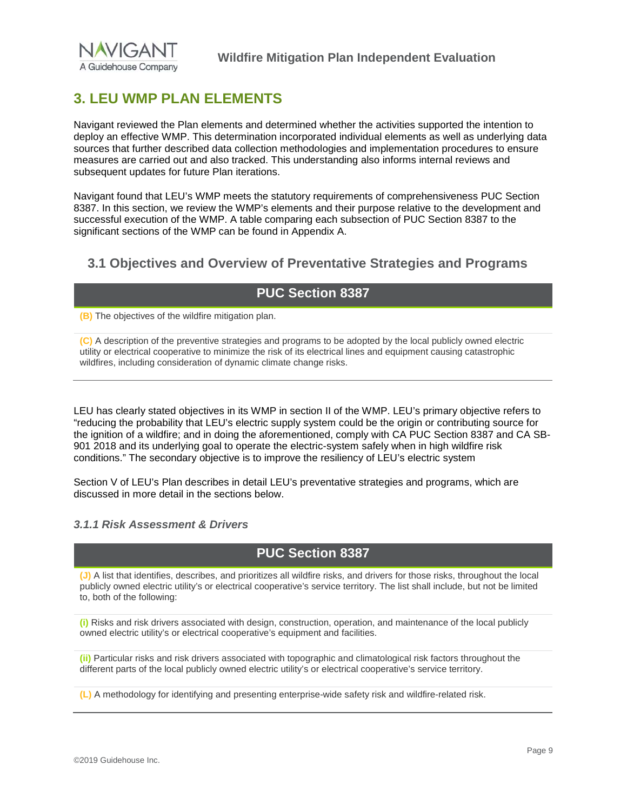

### <span id="page-12-0"></span>**3. LEU WMP PLAN ELEMENTS**

Navigant reviewed the Plan elements and determined whether the activities supported the intention to deploy an effective WMP. This determination incorporated individual elements as well as underlying data sources that further described data collection methodologies and implementation procedures to ensure measures are carried out and also tracked. This understanding also informs internal reviews and subsequent updates for future Plan iterations.

Navigant found that LEU's WMP meets the statutory requirements of comprehensiveness PUC Section 8387. In this section, we review the WMP's elements and their purpose relative to the development and successful execution of the WMP. A table comparing each subsection of PUC Section 8387 to the significant sections of the WMP can be found in Appendix A.

### <span id="page-12-1"></span>**3.1 Objectives and Overview of Preventative Strategies and Programs**

### **PUC Section 8387**

**(B)** The objectives of the wildfire mitigation plan.

**(C)** A description of the preventive strategies and programs to be adopted by the local publicly owned electric utility or electrical cooperative to minimize the risk of its electrical lines and equipment causing catastrophic wildfires, including consideration of dynamic climate change risks.

LEU has clearly stated objectives in its WMP in section II of the WMP. LEU's primary objective refers to "reducing the probability that LEU's electric supply system could be the origin or contributing source for the ignition of a wildfire; and in doing the aforementioned, comply with CA PUC Section 8387 and CA SB-901 2018 and its underlying goal to operate the electric-system safely when in high wildfire risk conditions." The secondary objective is to improve the resiliency of LEU's electric system

Section V of LEU's Plan describes in detail LEU's preventative strategies and programs, which are discussed in more detail in the sections below.

#### <span id="page-12-2"></span>*3.1.1 Risk Assessment & Drivers*

### **PUC Section 8387**

**(J)** A list that identifies, describes, and prioritizes all wildfire risks, and drivers for those risks, throughout the local publicly owned electric utility's or electrical cooperative's service territory. The list shall include, but not be limited to, both of the following:

**(i)** Risks and risk drivers associated with design, construction, operation, and maintenance of the local publicly owned electric utility's or electrical cooperative's equipment and facilities.

**(ii)** Particular risks and risk drivers associated with topographic and climatological risk factors throughout the different parts of the local publicly owned electric utility's or electrical cooperative's service territory.

**(L)** A methodology for identifying and presenting enterprise-wide safety risk and wildfire-related risk.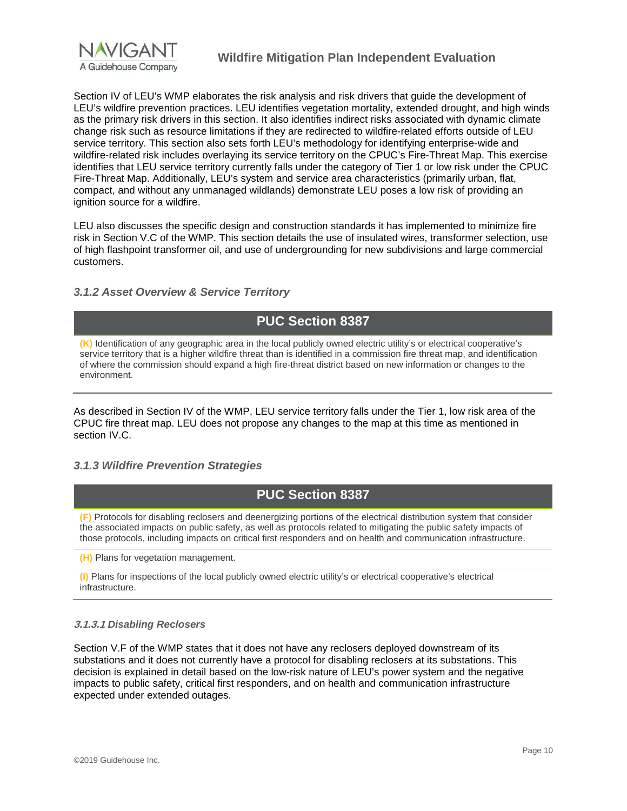

Section IV of LEU's WMP elaborates the risk analysis and risk drivers that quide the development of LEU's wildfire prevention practices. LEU identifies vegetation mortality, extended drought, and high winds as the primary risk drivers in this section. It also identifies indirect risks associated with dynamic climate change risk such as resource limitations if they are redirected to wildfire-related efforts outside of LEU service territory. This section also sets forth LEU's methodology for identifying enterprise-wide and wildfire-related risk includes overlaying its service territory on the CPUC's Fire-Threat Map. This exercise identifies that LEU service territory currently falls under the category of Tier 1 or low risk under the CPUC Fire-Threat Map. Additionally, LEU's system and service area characteristics (primarily urban, flat, compact, and without any unmanaged wildlands) demonstrate LEU poses a low risk of providing an ignition source for a wildfire.

LEU also discusses the specific design and construction standards it has implemented to minimize fire risk in Section V.C of the WMP. This section details the use of insulated wires, transformer selection, use of high flashpoint transformer oil, and use of undergrounding for new subdivisions and large commercial customers.

#### <span id="page-13-0"></span>*3.1.2 Asset Overview & Service Territory*

### **PUC Section 8387**

**(K)** Identification of any geographic area in the local publicly owned electric utility's or electrical cooperative's service territory that is a higher wildfire threat than is identified in a commission fire threat map, and identification of where the commission should expand a high fire-threat district based on new information or changes to the environment.

As described in Section IV of the WMP, LEU service territory falls under the Tier 1, low risk area of the CPUC fire threat map. LEU does not propose any changes to the map at this time as mentioned in section IV.C.

#### <span id="page-13-1"></span>*3.1.3 Wildfire Prevention Strategies*

### **PUC Section 8387**

**(F)** Protocols for disabling reclosers and deenergizing portions of the electrical distribution system that consider the associated impacts on public safety, as well as protocols related to mitigating the public safety impacts of those protocols, including impacts on critical first responders and on health and communication infrastructure.

**(H)** Plans for vegetation management.

**(I)** Plans for inspections of the local publicly owned electric utility's or electrical cooperative's electrical infrastructure.

#### **3.1.3.1** *Disabling Reclosers*

Section V.F of the WMP states that it does not have any reclosers deployed downstream of its substations and it does not currently have a protocol for disabling reclosers at its substations. This decision is explained in detail based on the low-risk nature of LEU's power system and the negative impacts to public safety, critical first responders, and on health and communication infrastructure expected under extended outages.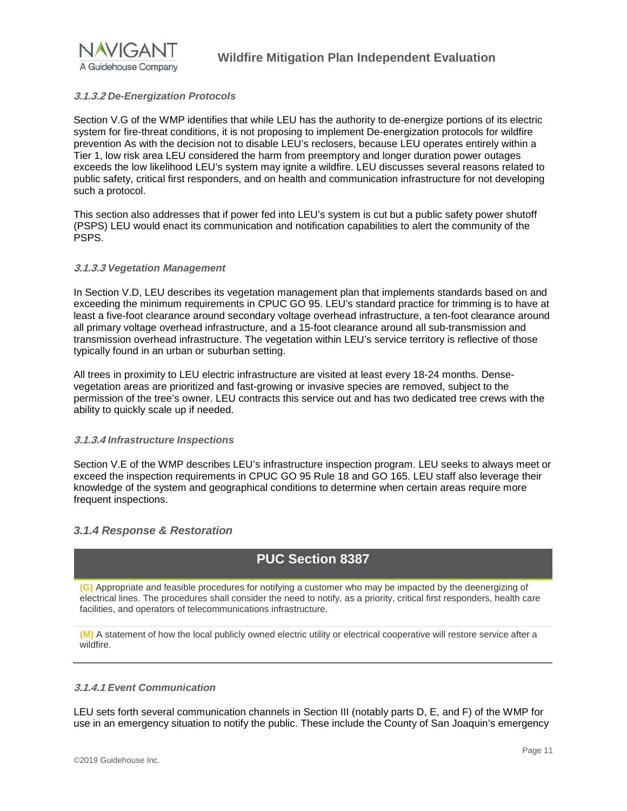

#### **3.1.3.2** *De-Energization Protocols*

Section V.G of the WMP identifies that while LEU has the authority to de-energize portions of its electric system for fire-threat conditions, it is not proposing to implement De-energization protocols for wildfire prevention As with the decision not to disable LEU's reclosers, because LEU operates entirely within a Tier 1, low risk area LEU considered the harm from preemptory and longer duration power outages exceeds the low likelihood LEU's system may ignite a wildfire. LEU discusses several reasons related to public safety, critical first responders, and on health and communication infrastructure for not developing such a protocol.

This section also addresses that if power fed into LEU's system is cut but a public safety power shutoff (PSPS) LEU would enact its communication and notification capabilities to alert the community of the PSPS.

#### **3.1.3.3** *Vegetation Management*

In Section V.D, LEU describes its vegetation management plan that implements standards based on and exceeding the minimum requirements in CPUC GO 95. LEU's standard practice for trimming is to have at least a five-foot clearance around secondary voltage overhead infrastructure, a ten-foot clearance around all primary voltage overhead infrastructure, and a 15-foot clearance around all sub-transmission and transmission overhead infrastructure. The vegetation within LEU's service territory is reflective of those typically found in an urban or suburban setting.

All trees in proximity to LEU electric infrastructure are visited at least every 18-24 months. Densevegetation areas are prioritized and fast-growing or invasive species are removed, subject to the permission of the tree's owner. LEU contracts this service out and has two dedicated tree crews with the ability to quickly scale up if needed.

#### **3.1.3.4** *Infrastructure Inspections*

Section V.E of the WMP describes LEU's infrastructure inspection program. LEU seeks to always meet or exceed the inspection requirements in CPUC GO 95 Rule 18 and GO 165. LEU staff also leverage their knowledge of the system and geographical conditions to determine when certain areas require more frequent inspections.

#### <span id="page-14-0"></span>*3.1.4 Response & Restoration*

### **PUC Section 8387**

**(G)** Appropriate and feasible procedures for notifying a customer who may be impacted by the deenergizing of electrical lines. The procedures shall consider the need to notify, as a priority, critical first responders, health care facilities, and operators of telecommunications infrastructure.

**(M)** A statement of how the local publicly owned electric utility or electrical cooperative will restore service after a wildfire.

#### **3.1.4.1** *Event Communication*

LEU sets forth several communication channels in Section III (notably parts D, E, and F) of the WMP for use in an emergency situation to notify the public. These include the County of San Joaquin's emergency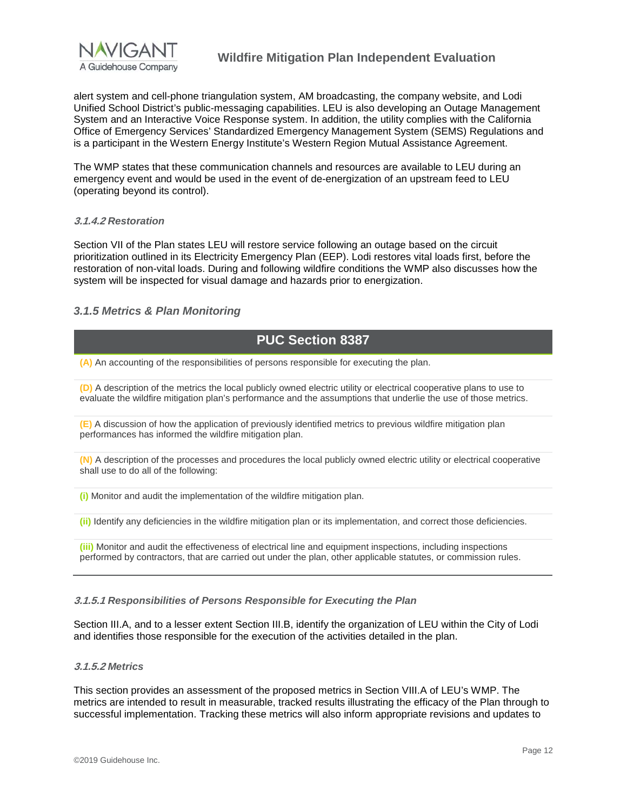

alert system and cell-phone triangulation system, AM broadcasting, the company website, and Lodi Unified School District's public-messaging capabilities. LEU is also developing an Outage Management System and an Interactive Voice Response system. In addition, the utility complies with the California Office of Emergency Services' Standardized Emergency Management System (SEMS) Regulations and is a participant in the Western Energy Institute's Western Region Mutual Assistance Agreement.

The WMP states that these communication channels and resources are available to LEU during an emergency event and would be used in the event of de-energization of an upstream feed to LEU (operating beyond its control).

#### **3.1.4.2** *Restoration*

Section VII of the Plan states LEU will restore service following an outage based on the circuit prioritization outlined in its Electricity Emergency Plan (EEP). Lodi restores vital loads first, before the restoration of non-vital loads. During and following wildfire conditions the WMP also discusses how the system will be inspected for visual damage and hazards prior to energization.

#### <span id="page-15-0"></span>*3.1.5 Metrics & Plan Monitoring*

### **PUC Section 8387**

**(A)** An accounting of the responsibilities of persons responsible for executing the plan.

**(D)** A description of the metrics the local publicly owned electric utility or electrical cooperative plans to use to evaluate the wildfire mitigation plan's performance and the assumptions that underlie the use of those metrics.

**(E)** A discussion of how the application of previously identified metrics to previous wildfire mitigation plan performances has informed the wildfire mitigation plan.

**(N)** A description of the processes and procedures the local publicly owned electric utility or electrical cooperative shall use to do all of the following:

**(i)** Monitor and audit the implementation of the wildfire mitigation plan.

**(ii)** Identify any deficiencies in the wildfire mitigation plan or its implementation, and correct those deficiencies.

**(iii)** Monitor and audit the effectiveness of electrical line and equipment inspections, including inspections performed by contractors, that are carried out under the plan, other applicable statutes, or commission rules.

#### **3.1.5.1** *Responsibilities of Persons Responsible for Executing the Plan*

Section III.A, and to a lesser extent Section III.B, identify the organization of LEU within the City of Lodi and identifies those responsible for the execution of the activities detailed in the plan.

#### **3.1.5.2** *Metrics*

This section provides an assessment of the proposed metrics in Section VIII.A of LEU's WMP. The metrics are intended to result in measurable, tracked results illustrating the efficacy of the Plan through to successful implementation. Tracking these metrics will also inform appropriate revisions and updates to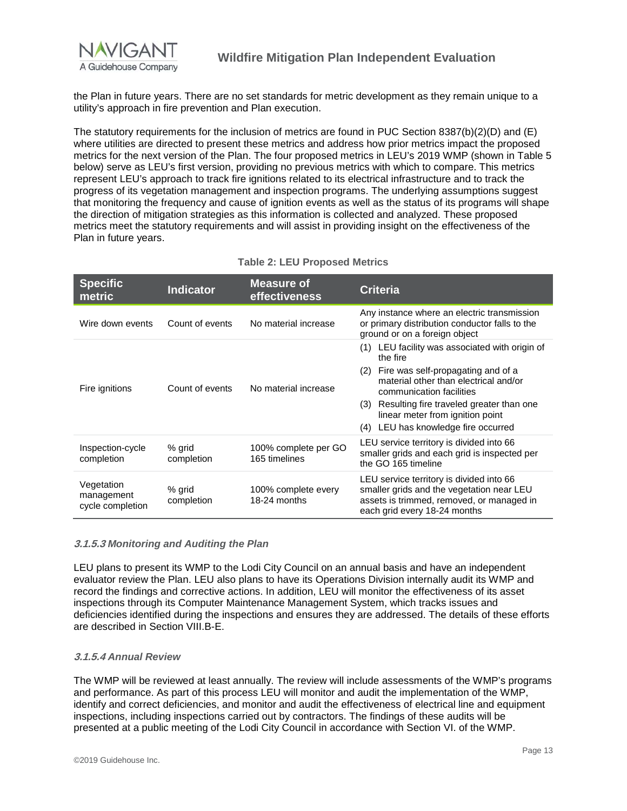

the Plan in future years. There are no set standards for metric development as they remain unique to a utility's approach in fire prevention and Plan execution.

The statutory requirements for the inclusion of metrics are found in PUC Section 8387(b)(2)(D) and (E) where utilities are directed to present these metrics and address how prior metrics impact the proposed metrics for the next version of the Plan. The four proposed metrics in LEU's 2019 WMP (shown in Table 5 below) serve as LEU's first version, providing no previous metrics with which to compare. This metrics represent LEU's approach to track fire ignitions related to its electrical infrastructure and to track the progress of its vegetation management and inspection programs. The underlying assumptions suggest that monitoring the frequency and cause of ignition events as well as the status of its programs will shape the direction of mitigation strategies as this information is collected and analyzed. These proposed metrics meet the statutory requirements and will assist in providing insight on the effectiveness of the Plan in future years.

| <b>Specific</b><br>metric                    | <b>Indicator</b>     | <b>Measure of</b><br>effectiveness    | <b>Criteria</b>                                                                                                                                                    |
|----------------------------------------------|----------------------|---------------------------------------|--------------------------------------------------------------------------------------------------------------------------------------------------------------------|
| Wire down events                             | Count of events      | No material increase                  | Any instance where an electric transmission<br>or primary distribution conductor falls to the<br>ground or on a foreign object                                     |
| Fire ignitions                               | Count of events      | No material increase                  | LEU facility was associated with origin of<br>(1)<br>the fire                                                                                                      |
|                                              |                      |                                       | Fire was self-propagating and of a<br>(2)<br>material other than electrical and/or<br>communication facilities                                                     |
|                                              |                      |                                       | Resulting fire traveled greater than one<br>(3)<br>linear meter from ignition point                                                                                |
|                                              |                      |                                       | (4) LEU has knowledge fire occurred                                                                                                                                |
| Inspection-cycle<br>completion               | % grid<br>completion | 100% complete per GO<br>165 timelines | LEU service territory is divided into 66<br>smaller grids and each grid is inspected per<br>the GO 165 timeline                                                    |
| Vegetation<br>management<br>cycle completion | % grid<br>completion | 100% complete every<br>18-24 months   | LEU service territory is divided into 66<br>smaller grids and the vegetation near LEU<br>assets is trimmed, removed, or managed in<br>each grid every 18-24 months |

#### **Table 2: LEU Proposed Metrics**

#### **3.1.5.3** *Monitoring and Auditing the Plan*

LEU plans to present its WMP to the Lodi City Council on an annual basis and have an independent evaluator review the Plan. LEU also plans to have its Operations Division internally audit its WMP and record the findings and corrective actions. In addition, LEU will monitor the effectiveness of its asset inspections through its Computer Maintenance Management System, which tracks issues and deficiencies identified during the inspections and ensures they are addressed. The details of these efforts are described in Section VIII.B-E.

#### **3.1.5.4** *Annual Review*

The WMP will be reviewed at least annually. The review will include assessments of the WMP's programs and performance. As part of this process LEU will monitor and audit the implementation of the WMP, identify and correct deficiencies, and monitor and audit the effectiveness of electrical line and equipment inspections, including inspections carried out by contractors. The findings of these audits will be presented at a public meeting of the Lodi City Council in accordance with Section VI. of the WMP.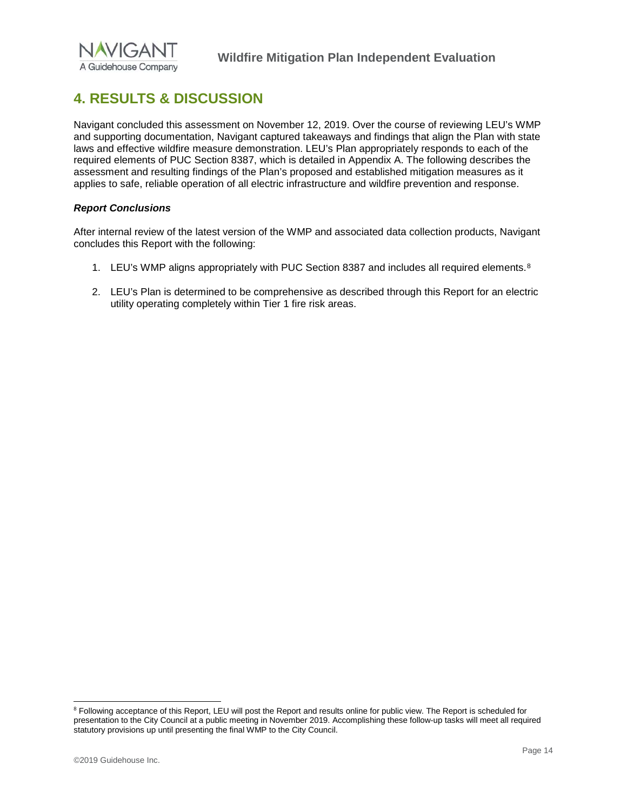

# <span id="page-17-0"></span>**4. RESULTS & DISCUSSION**

Navigant concluded this assessment on November 12, 2019. Over the course of reviewing LEU's WMP and supporting documentation, Navigant captured takeaways and findings that align the Plan with state laws and effective wildfire measure demonstration. LEU's Plan appropriately responds to each of the required elements of PUC Section 8387, which is detailed in Appendix A. The following describes the assessment and resulting findings of the Plan's proposed and established mitigation measures as it applies to safe, reliable operation of all electric infrastructure and wildfire prevention and response.

#### *Report Conclusions*

After internal review of the latest version of the WMP and associated data collection products, Navigant concludes this Report with the following:

- 1. LEU's WMP aligns appropriately with PUC Section [8](#page-17-1)387 and includes all required elements.<sup>8</sup>
- 2. LEU's Plan is determined to be comprehensive as described through this Report for an electric utility operating completely within Tier 1 fire risk areas.

<span id="page-17-1"></span><sup>&</sup>lt;sup>8</sup> Following acceptance of this Report, LEU will post the Report and results online for public view. The Report is scheduled for presentation to the City Council at a public meeting in November 2019. Accomplishing these follow-up tasks will meet all required statutory provisions up until presenting the final WMP to the City Council.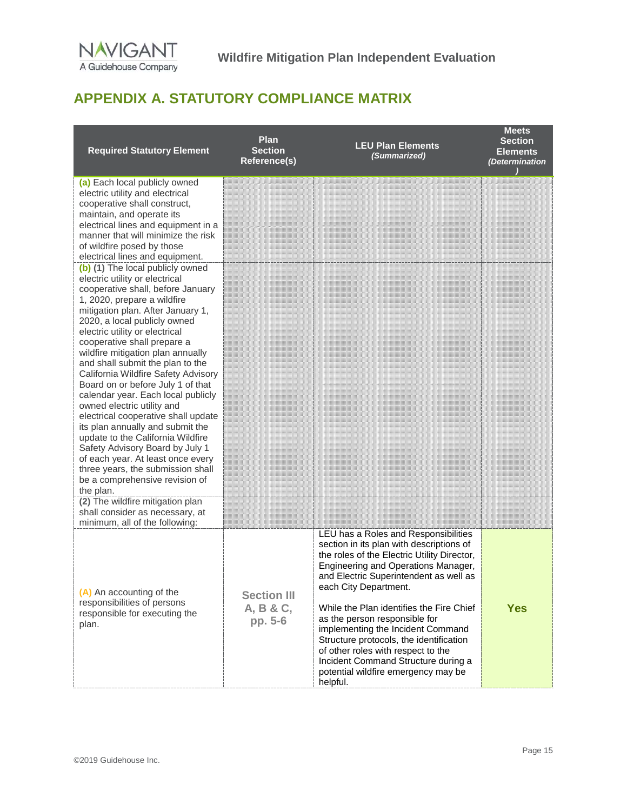

# <span id="page-18-0"></span>**APPENDIX A. STATUTORY COMPLIANCE MATRIX**

| <b>Required Statutory Element</b>                                                                                                                                                                                                                                                                                                                                                                                                                                                                                                                                                                                                                                                                                                                                                 | <b>Plan</b><br><b>Section</b><br><b>Reference(s)</b> | <b>LEU Plan Elements</b><br>(Summarized)                                                                                                                                                                                                                                                                                                                                                                                                                                                                                               | <b>Meets</b><br><b>Section</b><br><b>Elements</b><br>(Determination |
|-----------------------------------------------------------------------------------------------------------------------------------------------------------------------------------------------------------------------------------------------------------------------------------------------------------------------------------------------------------------------------------------------------------------------------------------------------------------------------------------------------------------------------------------------------------------------------------------------------------------------------------------------------------------------------------------------------------------------------------------------------------------------------------|------------------------------------------------------|----------------------------------------------------------------------------------------------------------------------------------------------------------------------------------------------------------------------------------------------------------------------------------------------------------------------------------------------------------------------------------------------------------------------------------------------------------------------------------------------------------------------------------------|---------------------------------------------------------------------|
| (a) Each local publicly owned<br>electric utility and electrical<br>cooperative shall construct,<br>maintain, and operate its<br>electrical lines and equipment in a<br>manner that will minimize the risk<br>of wildfire posed by those<br>electrical lines and equipment.                                                                                                                                                                                                                                                                                                                                                                                                                                                                                                       |                                                      |                                                                                                                                                                                                                                                                                                                                                                                                                                                                                                                                        |                                                                     |
| (b) (1) The local publicly owned<br>electric utility or electrical<br>cooperative shall, before January<br>1, 2020, prepare a wildfire<br>mitigation plan. After January 1,<br>2020, a local publicly owned<br>electric utility or electrical<br>cooperative shall prepare a<br>wildfire mitigation plan annually<br>and shall submit the plan to the<br>California Wildfire Safety Advisory<br>Board on or before July 1 of that<br>calendar year. Each local publicly<br>owned electric utility and<br>electrical cooperative shall update<br>its plan annually and submit the<br>update to the California Wildfire<br>Safety Advisory Board by July 1<br>of each year. At least once every<br>three years, the submission shall<br>be a comprehensive revision of<br>the plan. |                                                      |                                                                                                                                                                                                                                                                                                                                                                                                                                                                                                                                        |                                                                     |
| (2) The wildfire mitigation plan<br>shall consider as necessary, at<br>minimum, all of the following:                                                                                                                                                                                                                                                                                                                                                                                                                                                                                                                                                                                                                                                                             |                                                      |                                                                                                                                                                                                                                                                                                                                                                                                                                                                                                                                        |                                                                     |
| (A) An accounting of the<br>responsibilities of persons<br>responsible for executing the<br>plan.                                                                                                                                                                                                                                                                                                                                                                                                                                                                                                                                                                                                                                                                                 | <b>Section III</b><br>A, B & C,<br>pp. 5-6           | LEU has a Roles and Responsibilities<br>section in its plan with descriptions of<br>the roles of the Electric Utility Director,<br>Engineering and Operations Manager,<br>and Electric Superintendent as well as<br>each City Department.<br>While the Plan identifies the Fire Chief<br>as the person responsible for<br>implementing the Incident Command<br>Structure protocols, the identification<br>of other roles with respect to the<br>Incident Command Structure during a<br>potential wildfire emergency may be<br>helpful. | <b>Yes</b>                                                          |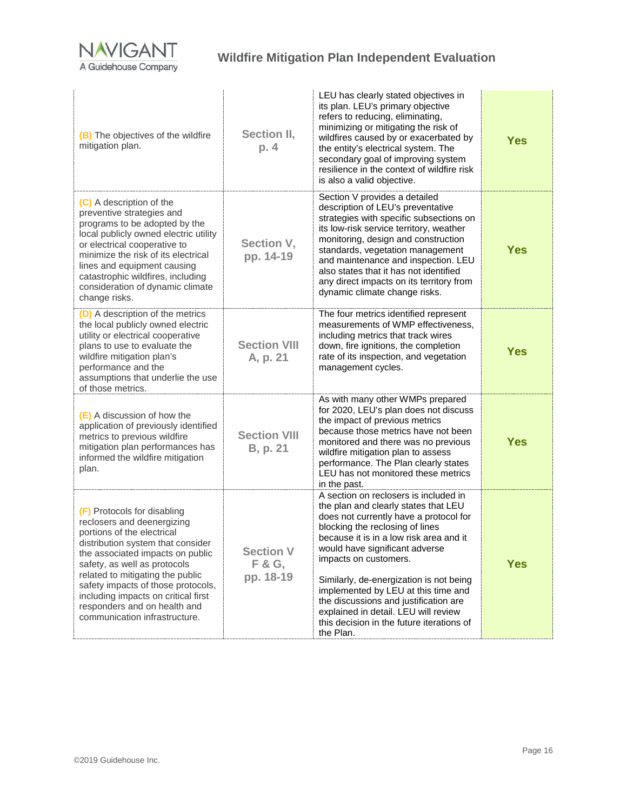

| (B) The objectives of the wildfire<br>mitigation plan.                                                                                                                                                                                                                                                                                                                             | Section II,<br>p. 4              | LEU has clearly stated objectives in<br>its plan. LEU's primary objective<br>refers to reducing, eliminating,<br>minimizing or mitigating the risk of<br>wildfires caused by or exacerbated by<br>the entity's electrical system. The<br>secondary goal of improving system<br>resilience in the context of wildfire risk<br>is also a valid objective.                                                                                                                                       | <b>Yes</b> |
|------------------------------------------------------------------------------------------------------------------------------------------------------------------------------------------------------------------------------------------------------------------------------------------------------------------------------------------------------------------------------------|----------------------------------|-----------------------------------------------------------------------------------------------------------------------------------------------------------------------------------------------------------------------------------------------------------------------------------------------------------------------------------------------------------------------------------------------------------------------------------------------------------------------------------------------|------------|
| (C) A description of the<br>preventive strategies and<br>programs to be adopted by the<br>local publicly owned electric utility<br>or electrical cooperative to<br>minimize the risk of its electrical<br>lines and equipment causing<br>catastrophic wildfires, including<br>consideration of dynamic climate<br>change risks.                                                    | Section V,<br>pp. 14-19          | Section V provides a detailed<br>description of LEU's preventative<br>strategies with specific subsections on<br>its low-risk service territory, weather<br>monitoring, design and construction<br>standards, vegetation management<br>and maintenance and inspection. LEU<br>also states that it has not identified<br>any direct impacts on its territory from<br>dynamic climate change risks.                                                                                             | <b>Yes</b> |
| (D) A description of the metrics<br>the local publicly owned electric<br>utility or electrical cooperative<br>plans to use to evaluate the<br>wildfire mitigation plan's<br>performance and the<br>assumptions that underlie the use<br>of those metrics.                                                                                                                          | <b>Section VIII</b><br>A, p. 21  | The four metrics identified represent<br>measurements of WMP effectiveness,<br>including metrics that track wires<br>down, fire ignitions, the completion<br>rate of its inspection, and vegetation<br>management cycles.                                                                                                                                                                                                                                                                     | <b>Yes</b> |
| (E) A discussion of how the<br>application of previously identified<br>metrics to previous wildfire<br>mitigation plan performances has<br>informed the wildfire mitigation<br>plan.                                                                                                                                                                                               | <b>Section VIII</b><br>B, p. 21  | As with many other WMPs prepared<br>for 2020, LEU's plan does not discuss<br>the impact of previous metrics<br>because those metrics have not been<br>monitored and there was no previous<br>wildfire mitigation plan to assess<br>performance. The Plan clearly states<br>LEU has not monitored these metrics<br>in the past.                                                                                                                                                                | <b>Yes</b> |
| (F) Protocols for disabling<br>reclosers and deenergizing<br>portions of the electrical<br>distribution system that consider<br>the associated impacts on public<br>safety, as well as protocols<br>related to mitigating the public<br>safety impacts of those protocols,<br>including impacts on critical first<br>responders and on health and<br>communication infrastructure. | Section V<br>F & G,<br>pp. 18-19 | A section on reclosers is included in<br>the plan and clearly states that LEU<br>does not currently have a protocol for<br>blocking the reclosing of lines<br>because it is in a low risk area and it<br>would have significant adverse<br>impacts on customers.<br>Similarly, de-energization is not being<br>implemented by LEU at this time and<br>the discussions and justification are<br>explained in detail. LEU will review<br>this decision in the future iterations of<br>the Plan. | <b>Yes</b> |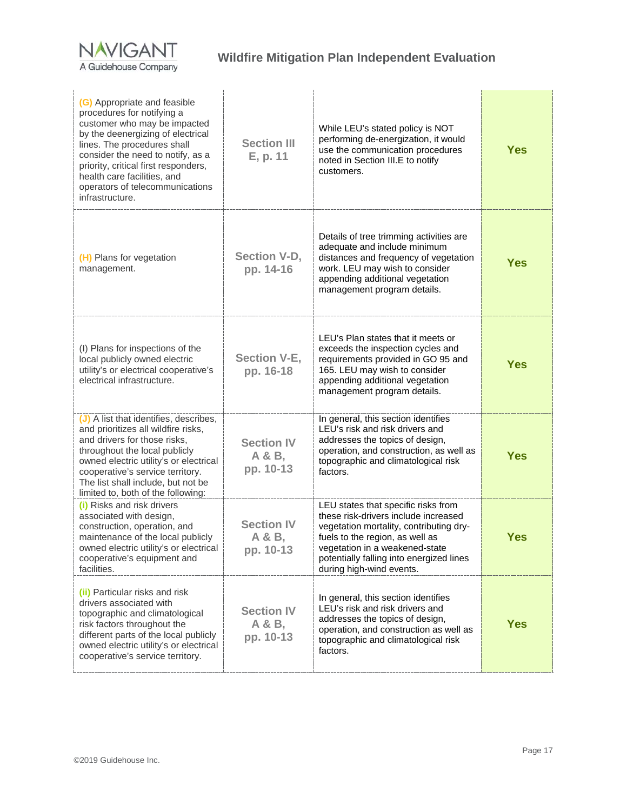

| (G) Appropriate and feasible<br>procedures for notifying a<br>customer who may be impacted<br>by the deenergizing of electrical<br>lines. The procedures shall<br>consider the need to notify, as a<br>priority, critical first responders,<br>health care facilities, and<br>operators of telecommunications<br>infrastructure. | <b>Section III</b><br>E, p. 11           | While LEU's stated policy is NOT<br>performing de-energization, it would<br>use the communication procedures<br>noted in Section III.E to notify<br>customers.                                                                                                      | <b>Yes</b> |
|----------------------------------------------------------------------------------------------------------------------------------------------------------------------------------------------------------------------------------------------------------------------------------------------------------------------------------|------------------------------------------|---------------------------------------------------------------------------------------------------------------------------------------------------------------------------------------------------------------------------------------------------------------------|------------|
| (H) Plans for vegetation<br>management.                                                                                                                                                                                                                                                                                          | <b>Section V-D,</b><br>pp. 14-16         | Details of tree trimming activities are<br>adequate and include minimum<br>distances and frequency of vegetation<br>work. LEU may wish to consider<br>appending additional vegetation<br>management program details.                                                | <b>Yes</b> |
| (I) Plans for inspections of the<br>local publicly owned electric<br>utility's or electrical cooperative's<br>electrical infrastructure.                                                                                                                                                                                         | <b>Section V-E,</b><br>pp. 16-18         | LEU's Plan states that it meets or<br>exceeds the inspection cycles and<br>requirements provided in GO 95 and<br>165. LEU may wish to consider<br>appending additional vegetation<br>management program details.                                                    | <b>Yes</b> |
| (J) A list that identifies, describes,<br>and prioritizes all wildfire risks,<br>and drivers for those risks,<br>throughout the local publicly<br>owned electric utility's or electrical<br>cooperative's service territory.<br>The list shall include, but not be<br>limited to, both of the following:                         | <b>Section IV</b><br>A & B,<br>pp. 10-13 | In general, this section identifies<br>LEU's risk and risk drivers and<br>addresses the topics of design,<br>operation, and construction, as well as<br>topographic and climatological risk<br>factors.                                                             | <b>Yes</b> |
| (i) Risks and risk drivers<br>associated with design,<br>construction, operation, and<br>maintenance of the local publicly<br>owned electric utility's or electrical<br>cooperative's equipment and<br>facilities.                                                                                                               | <b>Section IV</b><br>A & B,<br>pp. 10-13 | LEU states that specific risks from<br>these risk-drivers include increased<br>vegetation mortality, contributing dry-<br>fuels to the region, as well as<br>vegetation in a weakened-state<br>potentially falling into energized lines<br>during high-wind events. | <b>Yes</b> |
| (ii) Particular risks and risk<br>drivers associated with<br>topographic and climatological<br>risk factors throughout the<br>different parts of the local publicly<br>owned electric utility's or electrical<br>cooperative's service territory.                                                                                | <b>Section IV</b><br>A & B,<br>pp. 10-13 | In general, this section identifies<br>LEU's risk and risk drivers and<br>addresses the topics of design,<br>operation, and construction as well as<br>topographic and climatological risk<br>factors.                                                              | <b>Yes</b> |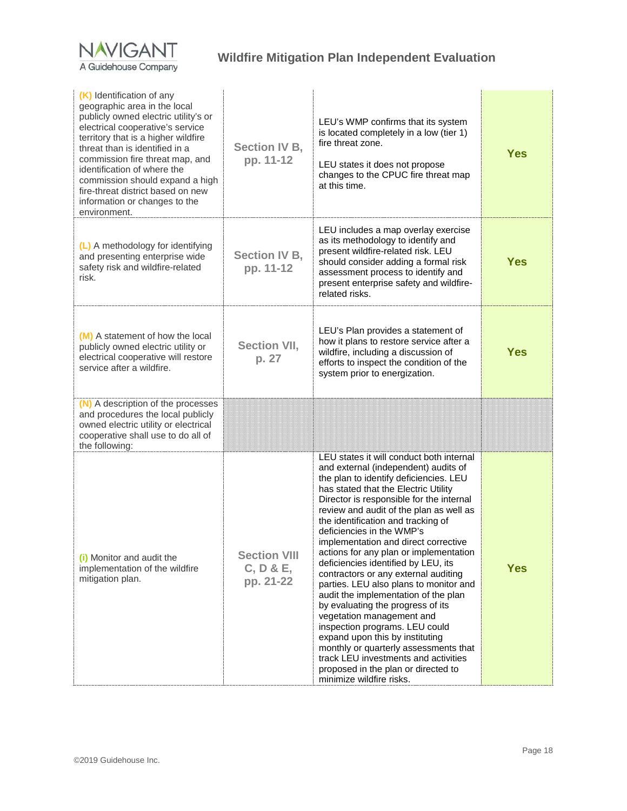

| (K) Identification of any<br>geographic area in the local<br>publicly owned electric utility's or<br>electrical cooperative's service<br>territory that is a higher wildfire<br>threat than is identified in a<br>commission fire threat map, and<br>identification of where the<br>commission should expand a high<br>fire-threat district based on new<br>information or changes to the<br>environment. | <b>Section IV B,</b><br>pp. 11-12             | LEU's WMP confirms that its system<br>is located completely in a low (tier 1)<br>fire threat zone.<br>LEU states it does not propose<br>changes to the CPUC fire threat map<br>at this time.                                                                                                                                                                                                                                                                                                                                                                                                                                                                                                                                                                                                                                                                               | <b>Yes</b> |
|-----------------------------------------------------------------------------------------------------------------------------------------------------------------------------------------------------------------------------------------------------------------------------------------------------------------------------------------------------------------------------------------------------------|-----------------------------------------------|----------------------------------------------------------------------------------------------------------------------------------------------------------------------------------------------------------------------------------------------------------------------------------------------------------------------------------------------------------------------------------------------------------------------------------------------------------------------------------------------------------------------------------------------------------------------------------------------------------------------------------------------------------------------------------------------------------------------------------------------------------------------------------------------------------------------------------------------------------------------------|------------|
| (L) A methodology for identifying<br>and presenting enterprise wide<br>safety risk and wildfire-related<br>risk.                                                                                                                                                                                                                                                                                          | <b>Section IV B,</b><br>pp. 11-12             | LEU includes a map overlay exercise<br>as its methodology to identify and<br>present wildfire-related risk. LEU<br>should consider adding a formal risk<br>assessment process to identify and<br>present enterprise safety and wildfire-<br>related risks.                                                                                                                                                                                                                                                                                                                                                                                                                                                                                                                                                                                                                 | <b>Yes</b> |
| (M) A statement of how the local<br>publicly owned electric utility or<br>electrical cooperative will restore<br>service after a wildfire.                                                                                                                                                                                                                                                                | <b>Section VII,</b><br>p. 27                  | LEU's Plan provides a statement of<br>how it plans to restore service after a<br>wildfire, including a discussion of<br>efforts to inspect the condition of the<br>system prior to energization.                                                                                                                                                                                                                                                                                                                                                                                                                                                                                                                                                                                                                                                                           | <b>Yes</b> |
| (N) A description of the processes<br>and procedures the local publicly<br>owned electric utility or electrical<br>cooperative shall use to do all of<br>the following:                                                                                                                                                                                                                                   |                                               |                                                                                                                                                                                                                                                                                                                                                                                                                                                                                                                                                                                                                                                                                                                                                                                                                                                                            |            |
| (i) Monitor and audit the<br>implementation of the wildfire<br>mitigation plan.                                                                                                                                                                                                                                                                                                                           | <b>Section VIII</b><br>C, D & E,<br>pp. 21-22 | LEU states it will conduct both internal<br>and external (independent) audits of<br>the plan to identify deficiencies. LEU<br>has stated that the Electric Utility<br>Director is responsible for the internal<br>review and audit of the plan as well as<br>the identification and tracking of<br>deficiencies in the WMP's<br>implementation and direct corrective<br>actions for any plan or implementation<br>deficiencies identified by LEU, its<br>contractors or any external auditing<br>parties. LEU also plans to monitor and<br>audit the implementation of the plan<br>by evaluating the progress of its<br>vegetation management and<br>inspection programs. LEU could<br>expand upon this by instituting<br>monthly or quarterly assessments that<br>track LEU investments and activities<br>proposed in the plan or directed to<br>minimize wildfire risks. | <b>Yes</b> |